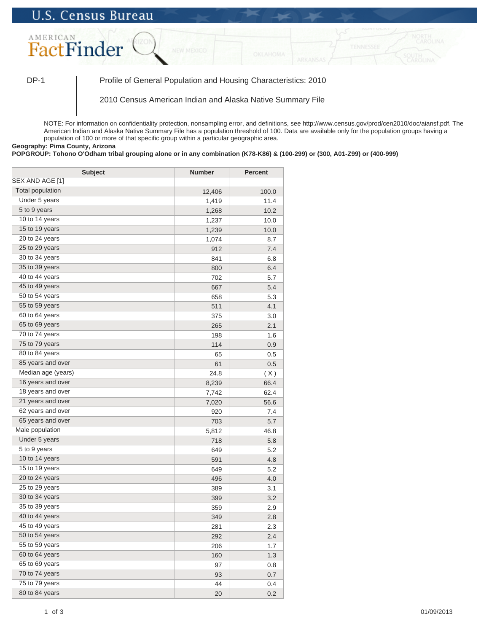## **U.S. Census Bureau**



DP-1 Profile of General Population and Housing Characteristics: 2010

2010 Census American Indian and Alaska Native Summary File

NOTE: For information on confidentiality protection, nonsampling error, and definitions, see http://www.census.gov/prod/cen2010/doc/aiansf.pdf. The American Indian and Alaska Native Summary File has a population threshold of 100. Data are available only for the population groups having a population of 100 or more of that specific group within a particular geographic area.

**Geography: Pima County, Arizona**

## **POPGROUP: Tohono O'Odham tribal grouping alone or in any combination (K78-K86) & (100-299) or (300, A01-Z99) or (400-999)**

| <b>Subject</b>          | <b>Number</b> | <b>Percent</b> |
|-------------------------|---------------|----------------|
| SEX AND AGE [1]         |               |                |
| <b>Total population</b> | 12,406        | 100.0          |
| Under 5 years           | 1,419         | 11.4           |
| 5 to 9 years            | 1,268         | 10.2           |
| 10 to 14 years          | 1,237         | 10.0           |
| 15 to 19 years          | 1,239         | 10.0           |
| 20 to 24 years          | 1,074         | 8.7            |
| 25 to 29 years          | 912           | 7.4            |
| 30 to 34 years          | 841           | 6.8            |
| 35 to 39 years          | 800           | 6.4            |
| 40 to 44 years          | 702           | 5.7            |
| 45 to 49 years          | 667           | 5.4            |
| 50 to 54 years          | 658           | 5.3            |
| 55 to 59 years          | 511           | 4.1            |
| 60 to 64 years          | 375           | 3.0            |
| 65 to 69 years          | 265           | 2.1            |
| 70 to 74 years          | 198           | 1.6            |
| 75 to 79 years          | 114           | 0.9            |
| 80 to 84 years          | 65            | 0.5            |
| 85 years and over       | 61            | 0.5            |
| Median age (years)      | 24.8          | (X)            |
| 16 years and over       | 8,239         | 66.4           |
| 18 years and over       | 7,742         | 62.4           |
| 21 years and over       | 7,020         | 56.6           |
| 62 years and over       | 920           | 7.4            |
| 65 years and over       | 703           | 5.7            |
| Male population         | 5,812         | 46.8           |
| Under 5 years           | 718           | 5.8            |
| $5$ to $9$ years        | 649           | 5.2            |
| 10 to 14 years          | 591           | 4.8            |
| 15 to 19 years          | 649           | 5.2            |
| 20 to 24 years          | 496           | 4.0            |
| 25 to 29 years          | 389           | 3.1            |
| 30 to 34 years          | 399           | 3.2            |
| 35 to 39 years          | 359           | 2.9            |
| 40 to 44 years          | 349           | 2.8            |
| 45 to 49 years          | 281           | 2.3            |
| 50 to 54 years          | 292           | 2.4            |
| 55 to 59 years          | 206           | 1.7            |
| 60 to 64 years          | 160           | 1.3            |
| 65 to 69 years          | 97            | 0.8            |
| 70 to 74 years          | 93            | 0.7            |
| 75 to 79 years          | 44            | 0.4            |
| 80 to 84 years          | 20            | 0.2            |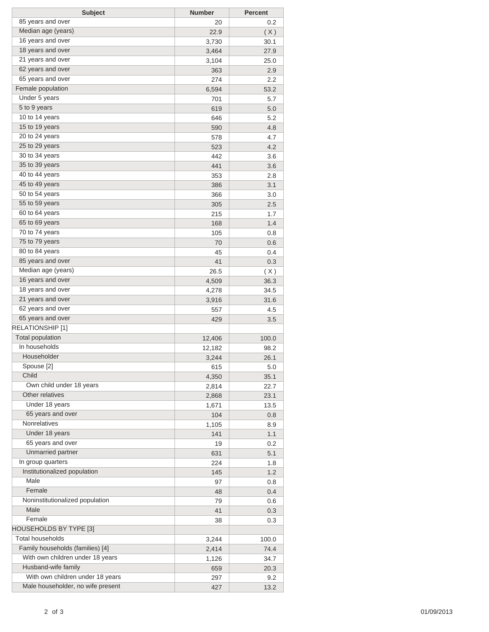| <b>Subject</b>                    | <b>Number</b> | <b>Percent</b> |
|-----------------------------------|---------------|----------------|
| 85 years and over                 | 20            | 0.2            |
| Median age (years)                | 22.9          | (X)            |
| 16 years and over                 | 3,730         | 30.1           |
| 18 years and over                 | 3,464         | 27.9           |
| 21 years and over                 | 3,104         | 25.0           |
| 62 years and over                 | 363           | 2.9            |
| 65 years and over                 | 274           | 2.2            |
| Female population                 | 6,594         | 53.2           |
| Under 5 years                     | 701           | 5.7            |
| 5 to 9 years                      | 619           | 5.0            |
| 10 to 14 years                    | 646           | 5.2            |
| 15 to 19 years                    | 590           | 4.8            |
| 20 to 24 years                    | 578           | 4.7            |
| 25 to 29 years                    | 523           | 4.2            |
| 30 to 34 years                    | 442           | 3.6            |
| 35 to 39 years                    | 441           | 3.6            |
| 40 to 44 years                    | 353           | 2.8            |
| 45 to 49 years                    | 386           | 3.1            |
| 50 to 54 years                    | 366           | 3.0            |
| 55 to 59 years                    | 305           | 2.5            |
| 60 to 64 years                    | 215           | 1.7            |
| 65 to 69 years                    | 168           | 1.4            |
| 70 to 74 years                    | 105           | 0.8            |
| 75 to 79 years                    | 70            | 0.6            |
| 80 to 84 years                    | 45            | 0.4            |
| 85 years and over                 | 41            | 0.3            |
| Median age (years)                | 26.5          | (X)            |
| 16 years and over                 | 4,509         | 36.3           |
| 18 years and over                 | 4,278         | 34.5           |
| 21 years and over                 | 3,916         | 31.6           |
| 62 years and over                 | 557           | 4.5            |
| 65 years and over                 | 429           | 3.5            |
| RELATIONSHIP [1]                  |               |                |
| <b>Total population</b>           | 12,406        | 100.0          |
| In households                     | 12,182        | 98.2           |
| Householder                       | 3,244         | 26.1           |
| Spouse [2]                        | 615           | 5.0            |
| Child                             | 4,350         | 35.1           |
| Own child under 18 years          | 2,814         | 22.7           |
| Other relatives                   | 2,868         | 23.1           |
| Under 18 years                    | 1,671         | 13.5           |
| 65 years and over                 | 104           | 0.8            |
| Nonrelatives                      | 1,105         | 8.9            |
| Under 18 years                    | 141           | 1.1            |
| 65 years and over                 | 19            | 0.2            |
| Unmarried partner                 | 631           | 5.1            |
| In group quarters                 | 224           | 1.8            |
| Institutionalized population      | 145           | 1.2            |
| Male                              | 97            | 0.8            |
| Female                            | 48            | 0.4            |
| Noninstitutionalized population   | 79            | 0.6            |
| Male                              | 41            | 0.3            |
| Female                            | 38            |                |
| HOUSEHOLDS BY TYPE [3]            |               | 0.3            |
| <b>Total households</b>           |               |                |
| Family households (families) [4]  | 3,244         | 100.0          |
| With own children under 18 years  | 2,414         | 74.4           |
| Husband-wife family               | 1,126         | 34.7           |
| With own children under 18 years  | 659           | 20.3           |
| Male householder, no wife present | 297           | 9.2            |
|                                   | 427           | 13.2           |